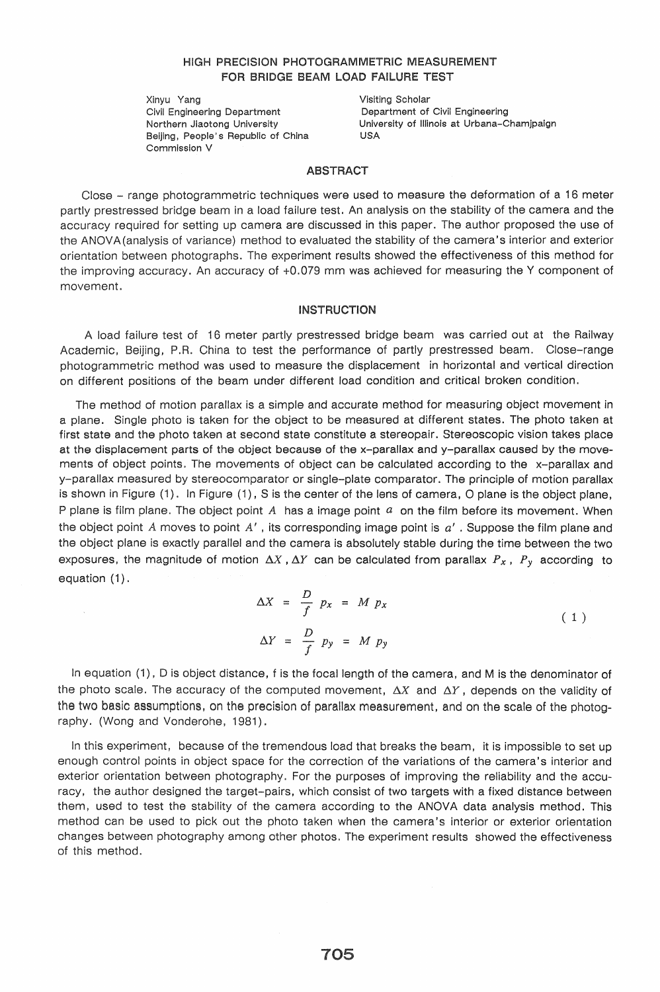# HIGH PRECISION PHOTOGRAMMETRIC MEASUREMENT FOR BRIDGE BEAM LOAD FAILURE TEST

Xinyu Yang Civil Engineering Department Northern Jiaotong University Beijing, People's Republic of China Commission V

 $\bar{\lambda}$ 

Visiting Scholar Department of Civil Engineering University of Illinois at Urbana-Chamjpaign USA

## ABSTRACT

Close - range photogrammetric techniques were used to measure the deformation of a 16 meter partly prestressed bridge beam in a load failure test. An analysis on the stability of the camera and the accuracy required for setting up camera are discussed in this paper. The author proposed the use of the ANOVA (analysis of variance) method to evaluated the stability of the camera's interior and exterior orientation between photographs. The experiment results showed the effectiveness of this method for the improving accuracy. An accuracy of +0.079 mm was achieved for measuring the Y component of movement.

#### INSTRUCTION

A load failure test of 16 meter partly prestressed bridge beam was carried out at the Railway Academic, Beijing, P.R. China to test the performance of partly prestressed beam. Close-range photogrammetric method was used to measure the displacement in horizontal and vertical direction on different positions of the beam under different load condition and critical broken condition.

The method of motion parallax is a simple and accurate method for measuring object movement in a plane. Single photo is taken for the object to be measured at different states. The photo taken at first state and the photo taken at second state constitute a stereopair. Stereoscopic vision takes place at the displacement parts of the object because of the x-parallax and y-parallax caused by the movements of object points. The movements of object can be calculated according to the x-parallax and y-parallax measured by stereocomparator or single-plate comparator. The principle of motion parallax is shown in Figure  $(1)$ . In Figure  $(1)$ , S is the center of the lens of camera, O plane is the object plane, P plane is film plane. The object point  $A$  has a image point  $a$  on the film before its movement. When the object point *A* moves to point *A'* , its corresponding image point is *a'* . Suppose the film plane and the object plane is exactly parallel and the camera is absolutely stable during the time between the two exposures, the magnitude of motion  $\Delta X$ ,  $\Delta Y$  can be calculated from parallax  $P_x$ ,  $P_y$  according to equation (1).

$$
\Delta X = \frac{D}{f} p_x = M p_x
$$
  
\n
$$
\Delta Y = \frac{D}{f} p_y = M p_y
$$
\n(1)

In equation (1), 0 is object distance, f is the focal length of the camera, and M is the denominator of the photo scale. The accuracy of the computed movement,  $\Delta X$  and  $\Delta Y$ , depends on the validity of the two basic assumptions, on the precision of parallax measurement, and on the scale of the photography. (Wong and Vonderohe, 1981).

In this experiment, because of the tremendous load that breaks the beam, it is impossible to set up enough control points in object space for the correction of the variations of the camera's interior and exterior orientation between photography. For the purposes of improving the reliability and the accuracy, the author designed the target-pairs, which consist of two targets with a fixed distance between them, used to test the stability of the camera according to the ANOVA data analysis method. This method can be used to pick out the photo taken when the camera's interior or exterior orientation changes between photography among other photos. The experiment results showed the effectiveness of this method.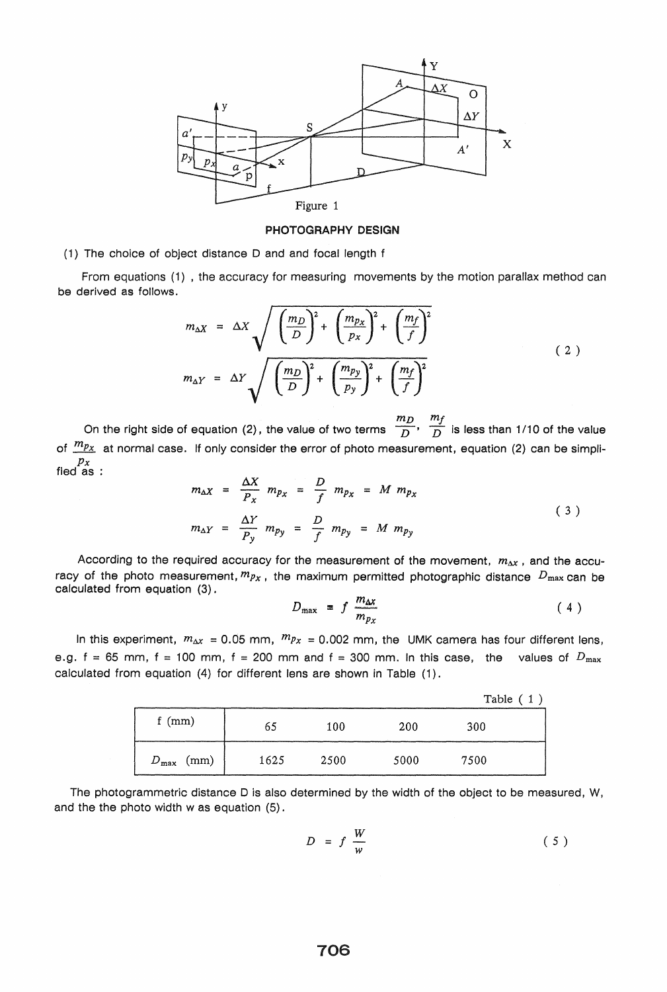

PHOTOGRAPHY DESIGN

(1) The choice of object distance 0 and and focal length f

From equations (1) , the accuracy for measuring movements by the motion parallax method can be derived as follows.

$$
m_{\Delta X} = \Delta X \sqrt{\left(\frac{m_D}{D}\right)^2 + \left(\frac{m_{p_X}}{p_X}\right)^2 + \left(\frac{m_f}{f}\right)^2}
$$
  

$$
m_{\Delta Y} = \Delta Y \sqrt{\left(\frac{m_D}{D}\right)^2 + \left(\frac{m_{p_Y}}{p_Y}\right)^2 + \left(\frac{m_f}{f}\right)^2}
$$
 (2)

On the right side of equation (2), the value of two terms  $\frac{m_D}{D}$ ,  $\frac{m_f}{D}$  is less than 1/10 of the value of  $\frac{m_{Px}}{x}$  at normal case. If only consider the error of photo measurement, equation (2) can be simpli- $\frac{p_x}{p_x}$  :

$$
m_{\Delta X} = \frac{\Delta X}{P_X} m_{p_X} = \frac{D}{f} m_{p_X} = M m_{p_X}
$$
  

$$
m_{\Delta Y} = \frac{\Delta Y}{P_y} m_{p_y} = \frac{D}{f} m_{p_y} = M m_{p_y}
$$
 (3)

According to the required accuracy for the measurement of the movement,  $m_{\Delta x}$ , and the accuracy of the photo measurement,  $m_{Px}$ , the maximum permitted photographic distance  $D_{\text{max}}$  can be calculated from equation (3).

$$
D_{\max} = f \frac{m_{\Delta x}}{m_{p_X}} \tag{4}
$$

In this experiment,  $m_{\Delta x} = 0.05$  mm,  $m_{Px} = 0.002$  mm, the UMK camera has four different lens, e.g.  $f = 65$  mm,  $f = 100$  mm,  $f = 200$  mm and  $f = 300$  mm. In this case, the values of  $D_{\text{max}}$ calculated from equation (4) for different lens are shown in Table (1).

|                    |      |      |      | Table $(1)$ |  |
|--------------------|------|------|------|-------------|--|
| f $(mm)$           | 65   | 100  | 200  | 300         |  |
| (mm)<br>$D_{\max}$ | 1625 | 2500 | 5000 | 7500        |  |

The photogrammetric distance D is also determined by the width of the object to be measured, W, and the the photo width was equation (5).

$$
D = f \frac{W}{w} \tag{5}
$$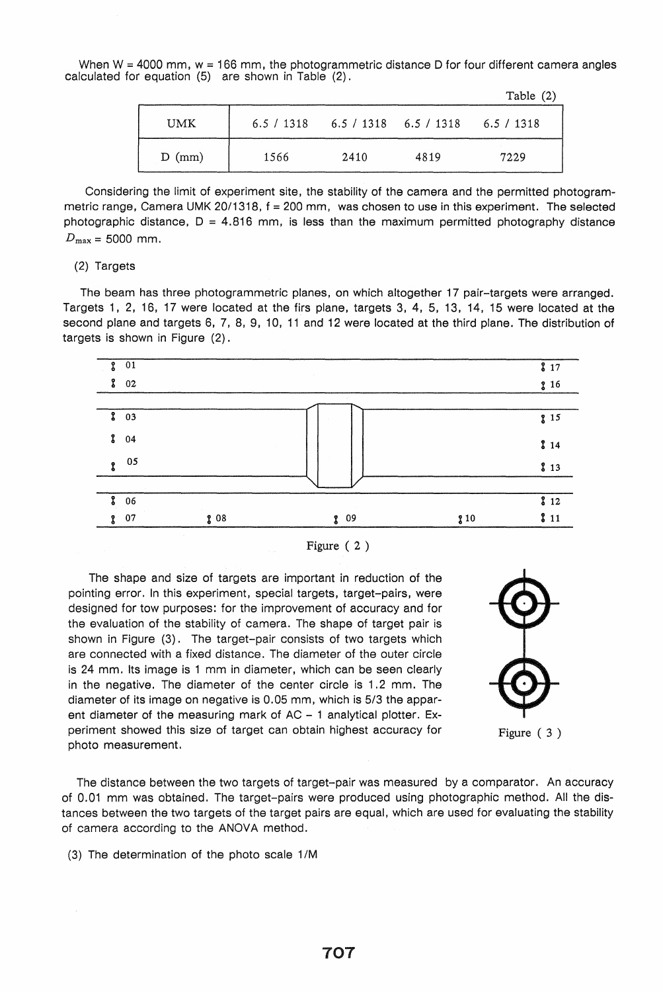When  $W = 4000$  mm,  $w = 166$  mm, the photogrammetric distance D for four different camera angles calculated for equation (5) are shown in Table (2).

|      |            |                           |      | Table $(2)$ |
|------|------------|---------------------------|------|-------------|
| UMK  | 6.5 / 1318 | $6.5 / 1318$ $6.5 / 1318$ |      | 6.5 / 1318  |
| (mm) | 1566       | 2410                      | 4819 | 7229        |

Considering the limit of experiment site, the stability of the camera and the permitted photogrammetric range, Camera UMK 20/1318,  $f = 200$  mm, was chosen to use in this experiment. The selected photographic distance,  $D = 4.816$  mm, is less than the maximum permitted photography distance  $D_{\text{max}} = 5000 \text{ mm}.$ 

## (2) Targets

The beam has three photogrammetric planes, on which altogether 17 pair-targets were arranged. Targets 1, 2, 16, 17 were located at the firs plane, targets 3, 4, 5, 13, 14, 15 were located at the second plane and targets 6, 7, 8, 9, 10, 11 and 12 were located at the third plane. The distribution of targets is shown in Figure (2).



Figure ( 2 )

The shape and size of targets are important in reduction of the pointing error. In this experiment, special targets, target-pairs, were designed for tow purposes: for the improvement of accuracy and for the evaluation of the stability of camera. The shape of target pair is shown in Figure (3). The target-pair consists of two targets which are connected with a fixed distance. The diameter of the outer circle is 24 mm. Its image is 1 mm in diameter, which can be seen clearly in the negative. The diameter of the center circle is 1.2 mm. The diameter of its image on negative is 0.05 mm, which is 5/3 the apparent diameter of the measuring mark of  $AC - 1$  analytical plotter. Experiment showed this size of target can obtain highest accuracy for photo measurement.



The distance between the two targets of target-pair was measured by a comparator. An accuracy of 0.01 mm was obtained. The target-pairs were produced using photographic method. All the distances between the two targets of the target pairs are equal, which are used for evaluating the stability of camera according to the ANOVA method.

(3) The determination of the photo scale 1/M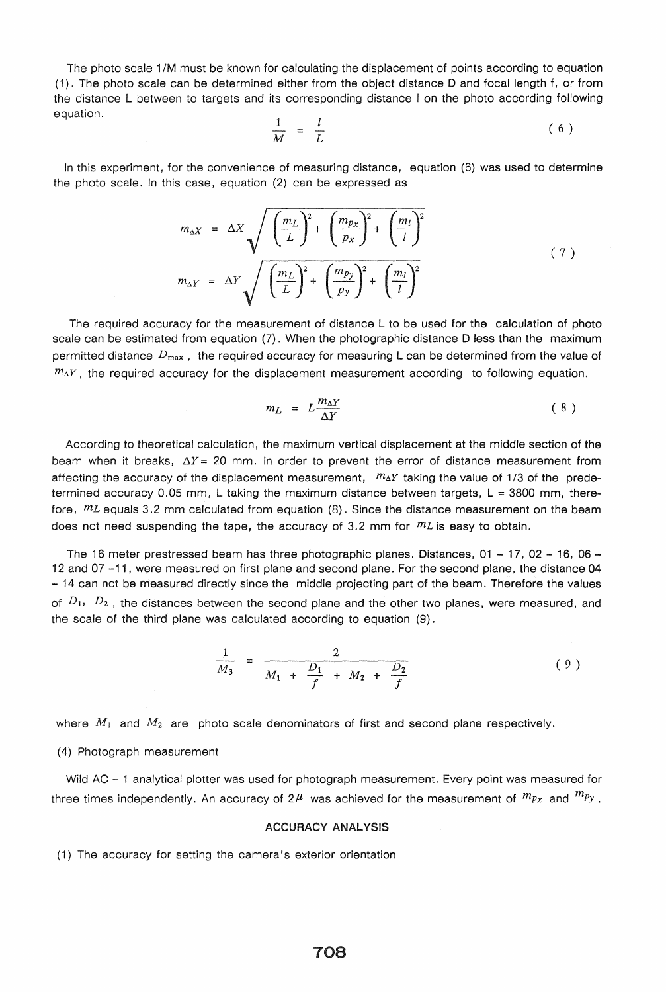The photo scale 11M must be known for calculating the displacement of points according to equation (1). The photo scale can be determined either from the object distance D and focal length f, or from the distance L between to targets and its corresponding distance I on the photo according following

equation. 
$$
\frac{1}{M} = \frac{l}{L}
$$
 (6)

In this experiment, for the convenience of measuring distance, equation (6) was used to determine the photo scale. In this case, equation (2) can be expressed as

$$
m_{\Delta X} = \Delta X \sqrt{\left(\frac{m_L}{L}\right)^2 + \left(\frac{m_{px}}{p_X}\right)^2 + \left(\frac{m_l}{l}\right)^2}
$$
  

$$
m_{\Delta Y} = \Delta Y \sqrt{\left(\frac{m_L}{L}\right)^2 + \left(\frac{m_{py}}{p_Y}\right)^2 + \left(\frac{m_l}{l}\right)^2}
$$
 (7)

The required accuracy for the measurement of distance L to be used for the calculation of photo scale can be estimated from equation (7). When the photographic distance D less than the maximum permitted distance *D max ,* the required accuracy for measuring L can be determined from the value of  $m_{\Delta}Y$ , the required accuracy for the displacement measurement according to following equation.

$$
m_L = L \frac{m_{\Delta Y}}{\Delta Y} \tag{8}
$$

According to theoretical calculation, the maximum vertical displacement at the middle section of the beam when it breaks,  $\Delta Y = 20$  mm. In order to prevent the error of distance measurement from affecting the accuracy of the displacement measurement,  $m_{\Delta}Y$  taking the value of 1/3 of the predetermined accuracy 0.05 mm, L taking the maximum distance between targets,  $L = 3800$  mm, therefore,  $m<sub>L</sub>$  equals 3.2 mm calculated from equation (8). Since the distance measurement on the beam does not need suspending the tape, the accuracy of 3.2 mm for  $m<sub>L</sub>$  is easy to obtain.

The 16 meter prestressed beam has three photographic planes. Distances,  $01 - 17$ ,  $02 - 16$ ,  $06 -$ 12 and 07 -11, were measured on first plane and second plane. For the second plane, the distance 04 - 14 can not be measured directly since the middle projecting part of the beam. Therefore the values of  $D_1$ ,  $D_2$ , the distances between the second plane and the other two planes, were measured, and the scale of the third plane was calculated according to equation (9).

$$
\frac{1}{M_3} = \frac{2}{M_1 + \frac{D_1}{f} + M_2 + \frac{D_2}{f}}
$$
\n(9)

where  $M_1$  and  $M_2$  are photo scale denominators of first and second plane respectively.

(4) Photograph measurement

Wild AC - 1 analytical plotter was used for photograph measurement. Every point was measured for three times independently. An accuracy of  $2^{\mu}$  was achieved for the measurement of  $m_{Px}$  and  $m_{Py}$ .

#### ACCURACY ANALYSIS

(1) The accuracy for setting the camera's exterior orientation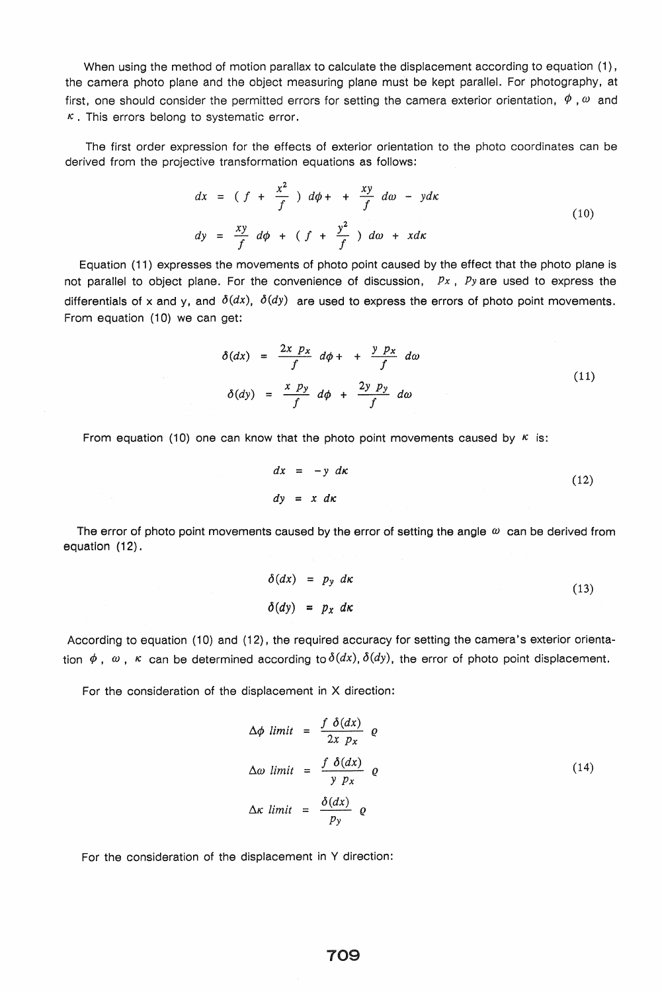When using the method of motion parallax to calculate the displacement according to equation (1), the camera photo plane and the object measuring plane must be kept parallel. For photography, at first, one should consider the permitted errors for setting the camera exterior orientation,  $\phi$ ,  $\omega$  and  $\kappa$ . This errors belong to systematic error.

The first order expression for the effects of exterior orientation to the photo coordinates can be derived from the projective transformation equations as follows:

$$
dx = (f + \frac{x^2}{f}) d\phi + \frac{xy}{f} d\omega - ydx
$$
  
\n
$$
dy = \frac{xy}{f} d\phi + (f + \frac{y^2}{f}) d\omega + xdx
$$
\n(10)

Equation (11) expresses the movements of photo point caused by the effect that the photo plane is not parallel to object plane. For the convenience of discussion, *Px, Pyare* used to express the differentials of x and y, and  $\delta(dx)$ ,  $\delta(dy)$  are used to express the errors of photo point movements. From equation (10) we can get:

$$
\delta(dx) = \frac{2x \ p_x}{f} \ d\phi + \frac{y \ p_x}{f} \ d\omega
$$
\n
$$
\delta(dy) = \frac{x \ p_y}{f} \ d\phi + \frac{2y \ p_y}{f} \ d\omega
$$
\n(11)

From equation (10) one can know that the photo point movements caused by  $K$  is:

$$
dx = -y \, dx \tag{12}
$$
\n
$$
dy = x \, dx
$$

The error of photo point movements caused by the error of setting the angle  $\omega$  can be derived from equation (12).

$$
\delta(dx) = p_y \, dx
$$
\n
$$
\delta(dy) = p_x \, dx
$$
\n(13)

According to equation (10) and (12), the required accuracy for setting the camera's exterior orientation  $\phi$ ,  $\omega$ ,  $\kappa$  can be determined according to  $\delta(dx)$ ,  $\delta(dy)$ , the error of photo point displacement.

For the consideration of the displacement in X direction:

$$
\Delta \phi \, \text{ limit} = \frac{f \, \delta(dx)}{2x \, p_x} \, \text{e}
$$
\n
$$
\Delta \omega \, \text{ limit} = \frac{f \, \delta(dx)}{y \, p_x} \, \text{e}
$$
\n
$$
\Delta \kappa \, \text{ limit} = \frac{\delta(dx)}{p_y} \, \text{e}
$$
\n
$$
(14)
$$

For the consideration of the displacement in Y direction: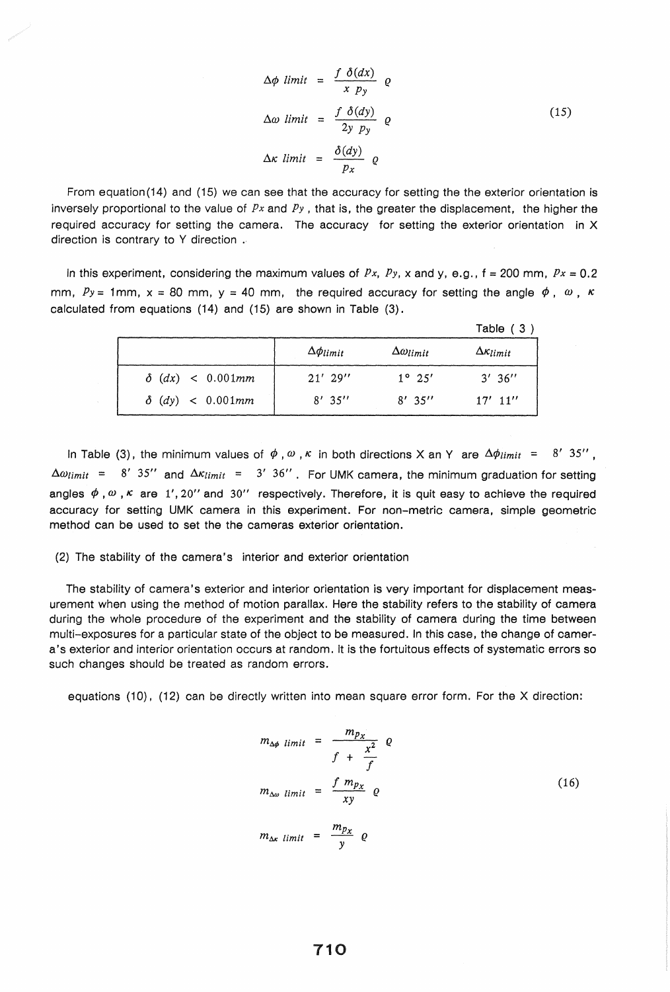$$
\Delta \phi \quad limit = \frac{f \quad \delta(dx)}{x \quad p_y} \quad \varrho
$$
\n
$$
\Delta \omega \quad limit = \frac{f \quad \delta(dy)}{2y \quad p_y} \quad \varrho
$$
\n
$$
\Delta \kappa \quad limit = \frac{\delta(dy)}{p_x} \quad \varrho
$$
\n(15)

From equation (14) and (15) we can see that the accuracy for setting the the exterior orientation is inversely proportional to the value of *Px* and *Py* , that is, the greater the displacement, the higher the required accuracy for setting the camera. The accuracy for setting the exterior orientation in X direction is contrary to Y direction .

In this experiment, considering the maximum values of  $Px$ ,  $Py$ ,  $x$  and  $y$ ,  $e.g., f = 200$  mm,  $Px = 0.2$ mm,  $Py = 1$ mm,  $x = 80$  mm,  $y = 40$  mm, the required accuracy for setting the angle  $\phi$ ,  $\omega$ ,  $\kappa$ calculated from equations (14) and (15) are shown in Table (3).

|                         |                     |                        | Table $(3)$             |
|-------------------------|---------------------|------------------------|-------------------------|
|                         | $\Delta \phi$ limit | $\Delta\omega_{limit}$ | $\Delta \kappa_{limit}$ |
| $\delta$ (dx) < 0.001mm | $21'$ 29"           | $1^{\circ} 25'$        | 3'36''                  |
| $\delta$ (dy) < 0.001mm | $8'$ 35''           | $8'$ 35''              | $17'$ 11"               |

In Table (3), the minimum values of  $\phi$ ,  $\omega$ ,  $\kappa$  in both directions X an Y are  $\Delta\phi_{limit}$  = 8' 35",  $\Delta\omega_{limit}$  = 8' 35" and  $\Delta\kappa_{limit}$  = 3' 36". For UMK camera, the minimum graduation for setting angles  $\phi$ ,  $\omega$ ,  $\kappa$  are 1', 20" and 30" respectively. Therefore, it is quit easy to achieve the required accuracy for setting UMK camera in this experiment. For non-metric camera, simple geometric method can be used to set the the cameras exterior orientation.

(2) The stability of the camera's interior and exterior orientation

The stability of camera's exterior and interior orientation is very important for displacement measurement when using the method of motion parallax. Here the stability refers to the stability of camera during the whole procedure of the experiment and the stability of camera during the time between multi-exposures for a particular state of the object to be measured. In this case, the change of camera's exterior and interior orientation occurs at random. It is the fortuitous effects of systematic errors so such changes should be treated as random errors.

equations (10), (12) can be directly written into mean square error form. For the X direction:

$$
m_{\Delta\phi \ limit} = \frac{m_{p_X}}{f + \frac{x^2}{f}} \varrho
$$
  

$$
m_{\Delta\omega \ limit} = \frac{f m_{p_X}}{xy} \varrho
$$
  

$$
m_{\Delta x \ limit} = \frac{m_{p_X}}{y} \varrho
$$
 (16)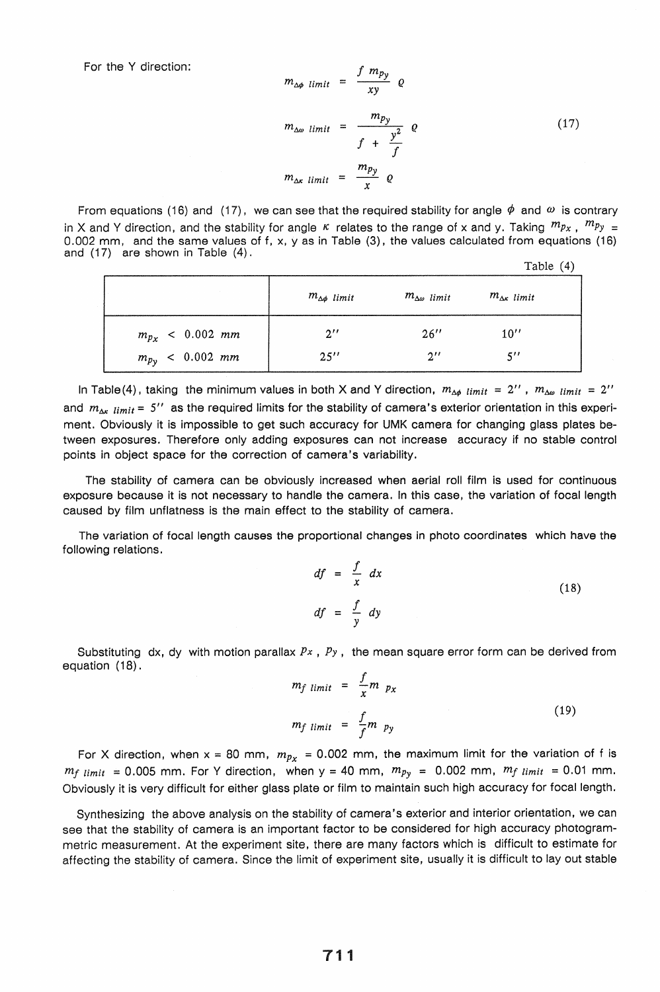For the Y direction:

$$
m_{\Delta\phi \ limit} = \frac{J \ m_{py}}{xy} \quad Q
$$
  

$$
m_{\Delta\omega \ limit} = \frac{m_{py}}{f + \frac{y^2}{f}} \quad Q
$$
 (17)  

$$
m_{\Delta\kappa \ limit} = \frac{m_{py}}{x} \quad Q
$$

From equations (16) and (17), we can see that the required stability for angle  $\phi$  and  $\omega$  is contrary in X and Y direction, and the stability for angle  $\kappa$  relates to the range of x and y. Taking  $m_{Px}$ ,  $m_{Py} =$ 0.002 mm, and the same values of f, x, y as in Table (3), the values calculated from equations (16) and (17) are shown in Table (4). Table (4)

|                             |                        |                          | $10010 \pm 1$            |
|-----------------------------|------------------------|--------------------------|--------------------------|
|                             | $m_{\Delta\phi}$ limit | $m_{\Delta\omega}$ limit | $m_{\Delta\kappa}$ limit |
| $m_{p_x}$ < 0.002 mm        | $2^{\prime\prime}$     | 26''                     | 10''                     |
| $m_{p_{\gamma}} < 0.002$ mm | 25''                   | $2^{\prime\prime}$       | $5^{\prime\prime}$       |

In Table (4), taking the minimum values in both X and Y direction,  $m_{\Delta\phi}$  *limit* = 2",  $m_{\Delta\phi}$  *limit* = 2" and  $m_{\Delta x}$   $_{limit}$  = 5" as the required limits for the stability of camera's exterior orientation in this experiment. Obviously it is impossible to get such accuracy for UMK camera for changing glass plates between exposures. Therefore only adding exposures can not increase accuracy if no stable control points in object space for the correction of camera's variability.

The stability of camera can be obviously increased when aerial roll film is used for continuous exposure because it is not necessary to handle the camera. In this case, the variation of focal length caused by film unflatness is the main effect to the stability of camera,

The variation of focal length causes the proportional changes in photo coordinates which have the following relations,

$$
df = \frac{f}{x} dx
$$
  

$$
df = \frac{f}{y} dy
$$
 (18)

Substituting dx, dy with motion parallax *Px* , *Py,* the mean square error form can be derived from equation (18).

$$
m_f \lim_{t \to t} = \frac{f}{x} m p_x
$$
  

$$
m_f \lim_{t \to t} = \frac{f}{f} m p_y
$$
 (19)

For X direction, when  $x = 80$  mm,  $m_{p_x} = 0.002$  mm, the maximum limit for the variation of f is  $m_f$   $limit = 0.005$  mm. For Y direction, when  $y = 40$  mm,  $m_{Py} = 0.002$  mm,  $m_f$   $limit = 0.01$  mm. Obviously it is very difficult for either glass plate or film to maintain such high accuracy for focal length,

Synthesizing the above analysis on the stability of camera's exterior and interior orientation, we can see that the stability of camera is an important factor to be considered for high accuracy photogrammetric measurement. At the experiment site, there are many factors which is difficult to estimate for affecting the stability of camera. Since the limit of experiment site, usually it is difficult to layout stable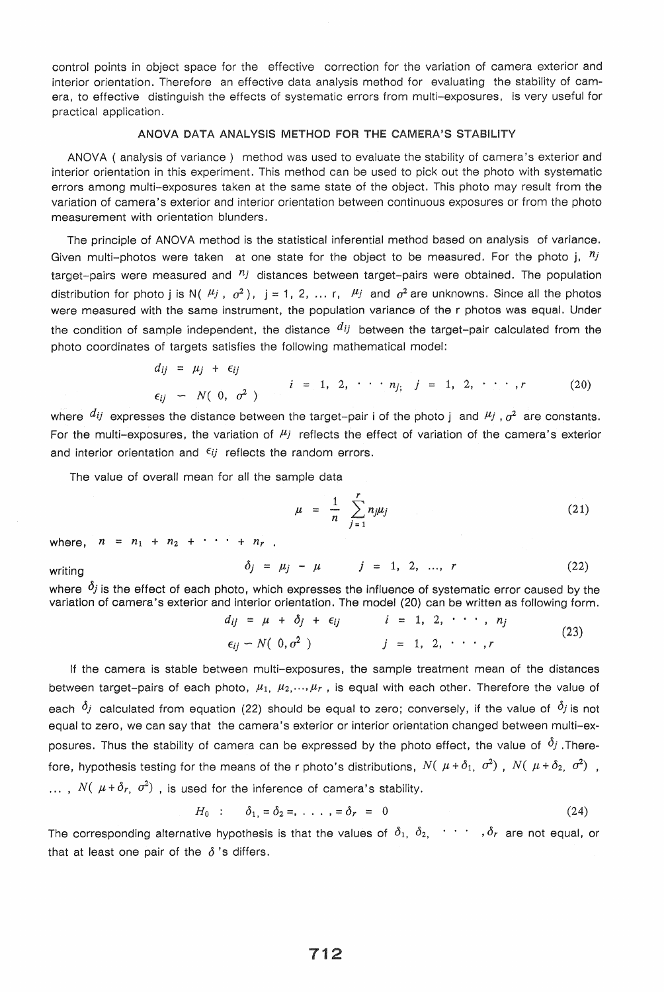control points in object space for the effective correction for the variation of camera exterior and interior orientation. Therefore an effective data analysis method for evaluating the stability of camera, to effective distinguish the effects of systematic errors from multi-exposures, is very useful for practical application.

# ANOVA DATA ANALYSIS METHOD FOR THE CAMERA'S STABILITY

ANOVA ( analysis of variance ) method was used to evaluate the stability of camera's exterior and interior orientation in this experiment. This method can be used to pick out the photo with systematic errors among mUlti-exposures taken at the same state of the object. This photo may result from the variation of camera's exterior and interior orientation between continuous exposures or from the photo measurement with orientation blunders.

The principle of ANOVA method is the statistical inferential method based on analysis of variance. Given multi-photos were taken at one state for the object to be measured. For the photo j,  $n_j$ target-pairs were measured and  $\eta_j$  distances between target-pairs were obtained. The population distribution for photo j is N( $\mu_j$ ,  $\sigma^2$ ), j = 1, 2, ... r,  $\mu_j$  and  $\sigma^2$  are unknowns. Since all the photos were measured with the same instrument, the population variance of the r photos was equal. Under the condition of sample independent, the distance  $d_{ij}$  between the target-pair calculated from the photo coordinates of targets satisfies the following mathematical model:

$$
d_{ij} = \mu_j + \epsilon_{ij}
$$
  
\n
$$
\epsilon_{ij} \sim N(0, \sigma^2)
$$
  $i = 1, 2, \cdots n_j, j = 1, 2, \cdots, r$  (20)

where  $di$  expresses the distance between the target-pair i of the photo j and  $\mu_j$ ,  $\sigma^2$  are constants. For the mUlti-exposures, the variation of *flj* reflects the effect of variation of the camera's exterior and interior orientation and  $\epsilon_{ij}$  reflects the random errors.

The value of overall mean for all the sample data

$$
\mu = \frac{1}{n} \sum_{j=1}^{r} n_j \mu_j \tag{21}
$$

where,  $n = n_1 + n_2 + \cdots + n_r$ .

$$
\delta_j = \mu_j - \mu \qquad j = 1, 2, ..., r \qquad (22)
$$

where  $\delta_j$  is the effect of each photo, which expresses the influence of systematic error caused by the variation of camera's exterior and interior orientation. The model (20) can be written as following form.

$$
d_{ij} = \mu + \delta_j + \epsilon_{ij} \qquad i = 1, 2, \cdots, n_j
$$
  
\n
$$
\epsilon_{ij} - N(0, \sigma^2) \qquad j = 1, 2, \cdots, r
$$
 (23)

If the camera is stable between multi-exposures, the sample treatment mean of the distances between target-pairs of each photo,  $\mu_1$ ,  $\mu_2$ ,  $\ldots$ ,  $\mu_r$ , is equal with each other. Therefore the value of each  $\delta_j$  calculated from equation (22) should be equal to zero; conversely, if the value of  $\delta_j$  is not equal to zero, we can say that the camera's exterior or interior orientation changed between multi-exposures. Thus the stability of camera can be expressed by the photo effect, the value of  $\delta_j$ . Therefore, hypothesis testing for the means of the r photo's distributions,  $N(\mu + \delta_1, \sigma^2)$ ,  $N(\mu + \delta_2, \sigma^2)$ . ...,  $N(\mu + \delta_r, \sigma^2)$  , is used for the inference of camera's stability.

$$
H_0 : \delta_1 = \delta_2 =, \ldots, = \delta_r = 0
$$
 (24)

The corresponding alternative hypothesis is that the values of  $\delta_1$ ,  $\delta_2$ ,  $\cdots$  ,  $\delta_r$  are not equal, or that at least one pair of the  $\delta$ 's differs.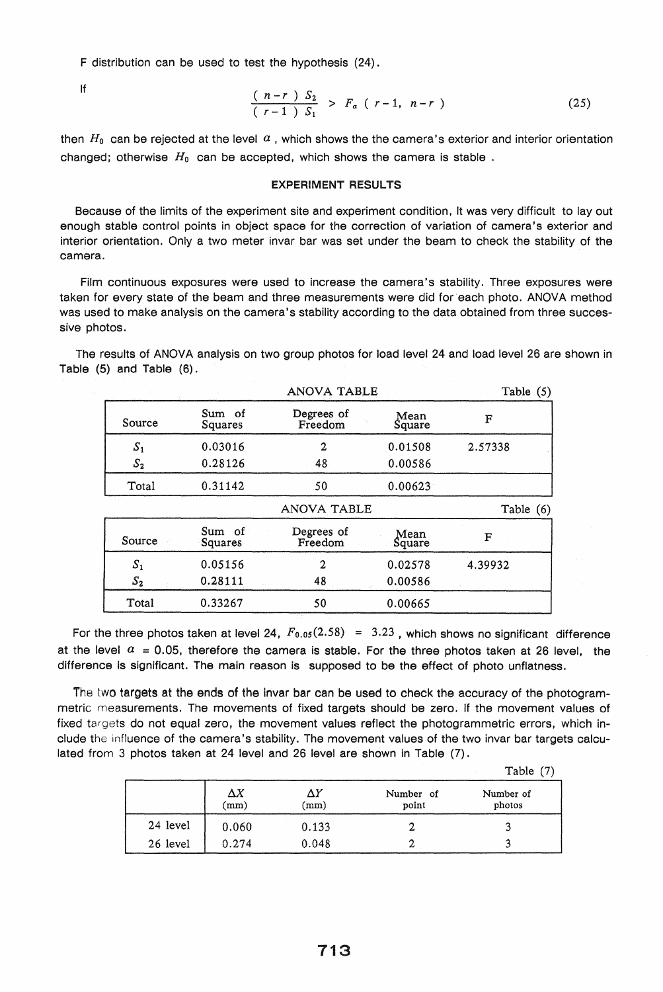F distribution can be used to test the hypothesis (24).

If 
$$
\frac{(n-r) S_2}{(r-1) S_1} > F_\alpha (r-1, n-r)
$$
 (25)

then  $H_0$  can be rejected at the level  $\alpha$ , which shows the the camera's exterior and interior orientation changed; otherwise *Ho* can be accepted, which shows the camera is stable .

## EXPERIMENT RESULTS

Because of the limits of the experiment site and experiment condition, It was very difficult to layout enough stable control points in object space for the correction of variation of camera's exterior and interior orientation. Only a two meter invar bar was set under the beam to check the stability of the camera.

Film continuous exposures were used to increase the camera's stability. Three exposures were taken for every state of the beam and three measurements were did for each photo. ANOVA method was used to make analysis on the camera's stability according to the data obtained from three successive photos.

The results of ANOVA analysis on two group photos for load level 24 and load level 26 are shown in Table (5) and Table (6).

|        |                   | <b>ANOVA TABLE</b>    |                | Table $(5)$ |
|--------|-------------------|-----------------------|----------------|-------------|
| Source | Sum of<br>Squares | Degrees of<br>Freedom | Mean<br>Square | F           |
| $S_1$  | 0.03016           | 2                     | 0.01508        | 2.57338     |
| $S_2$  | 0.28126           | 48                    | 0.00586        |             |
| Total  | 0.31142           | 50                    | 0.00623        |             |
|        |                   |                       |                |             |
|        |                   | ANOVA TABLE           |                | Table (6)   |
| Source | Sum of<br>Squares | Degrees of<br>Freedom | Mean<br>Square | F           |
| $S_1$  | 0.05156           | 2                     | 0.02578        | 4.39932     |
| $S_2$  | 0.28111           | 48                    | 0.00586        |             |

For the three photos taken at level 24,  $F_{0.05}(2.58) = 3.23$ , which shows no significant difference at the level  $a = 0.05$ , therefore the camera is stable. For the three photos taken at 26 level, the difference is significant. The main reason is supposed to be the effect of photo unflatness.

The two targets at the ends of the invar bar can be used to check the accuracy of the photogrammetric measurements. The movements of fixed targets should be zero. If the movement values of fixed targets do not equal zero, the movement values reflect the photogrammetric errors, which include the influence of the camera's stability. The movement values of the two invar bar targets calculated from 3 photos taken at 24 level and 26 level are shown in Table (7).

|          |                    |            |                    | Table $(7)$         |
|----------|--------------------|------------|--------------------|---------------------|
|          | $\Delta X$<br>(mm) | ΔY<br>(mm) | Number of<br>point | Number of<br>photos |
| 24 level | 0.060              | 0.133      |                    |                     |
| 26 level | 0.274              | 0.048      |                    |                     |